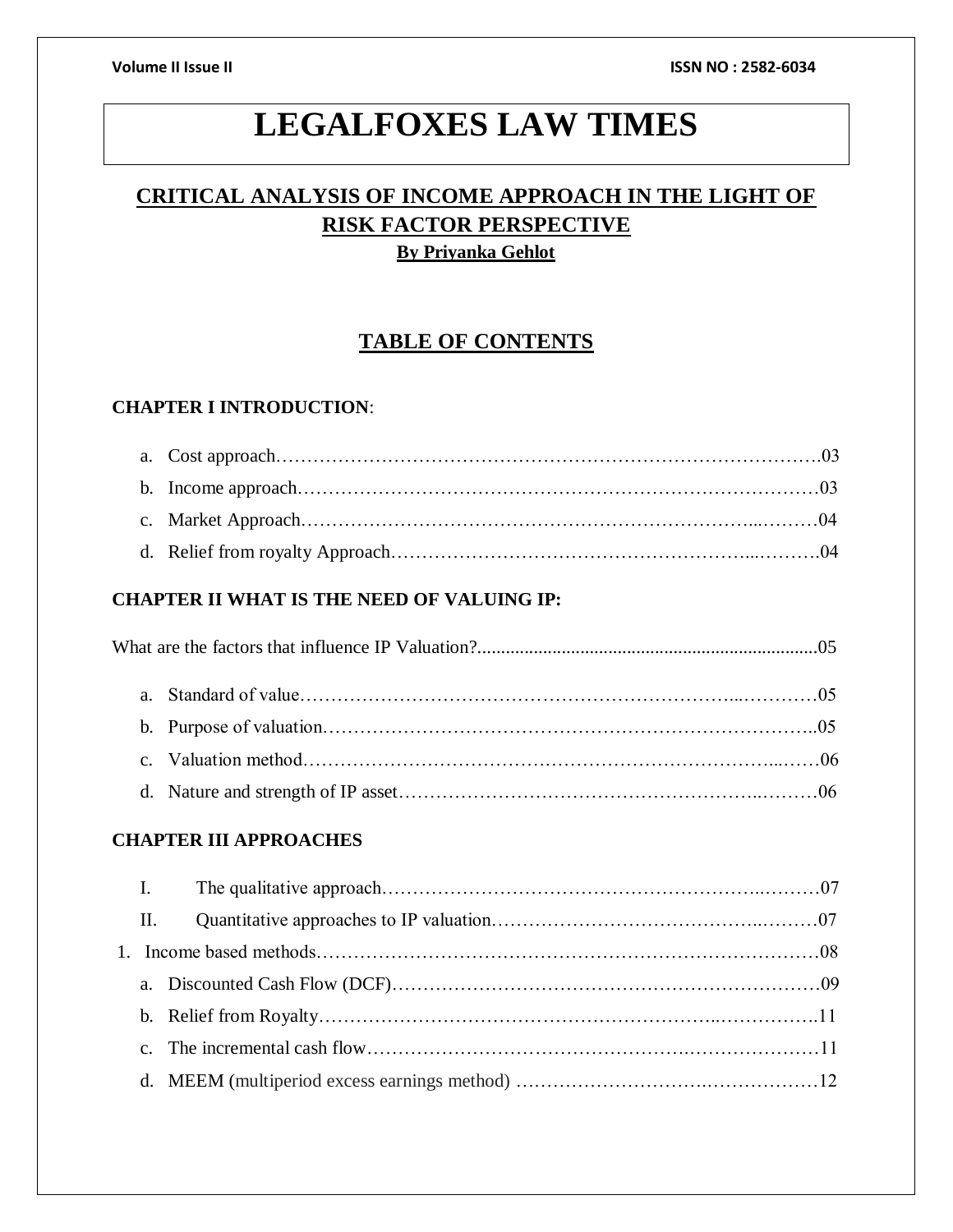# **LEGALFOXES LAW TIMES**

## **CRITICAL ANALYSIS OF INCOME APPROACH IN THE LIGHT OF RISK FACTOR PERSPECTIVE By Priyanka Gehlot**

## **TABLE OF CONTENTS**

### **CHAPTER I INTRODUCTION**:

## **CHAPTER II WHAT IS THE NEED OF VALUING IP:**

### **CHAPTER III APPROACHES**

| I.              |  |
|-----------------|--|
| $\mathbf{II}$ . |  |
|                 |  |
|                 |  |
|                 |  |
|                 |  |
|                 |  |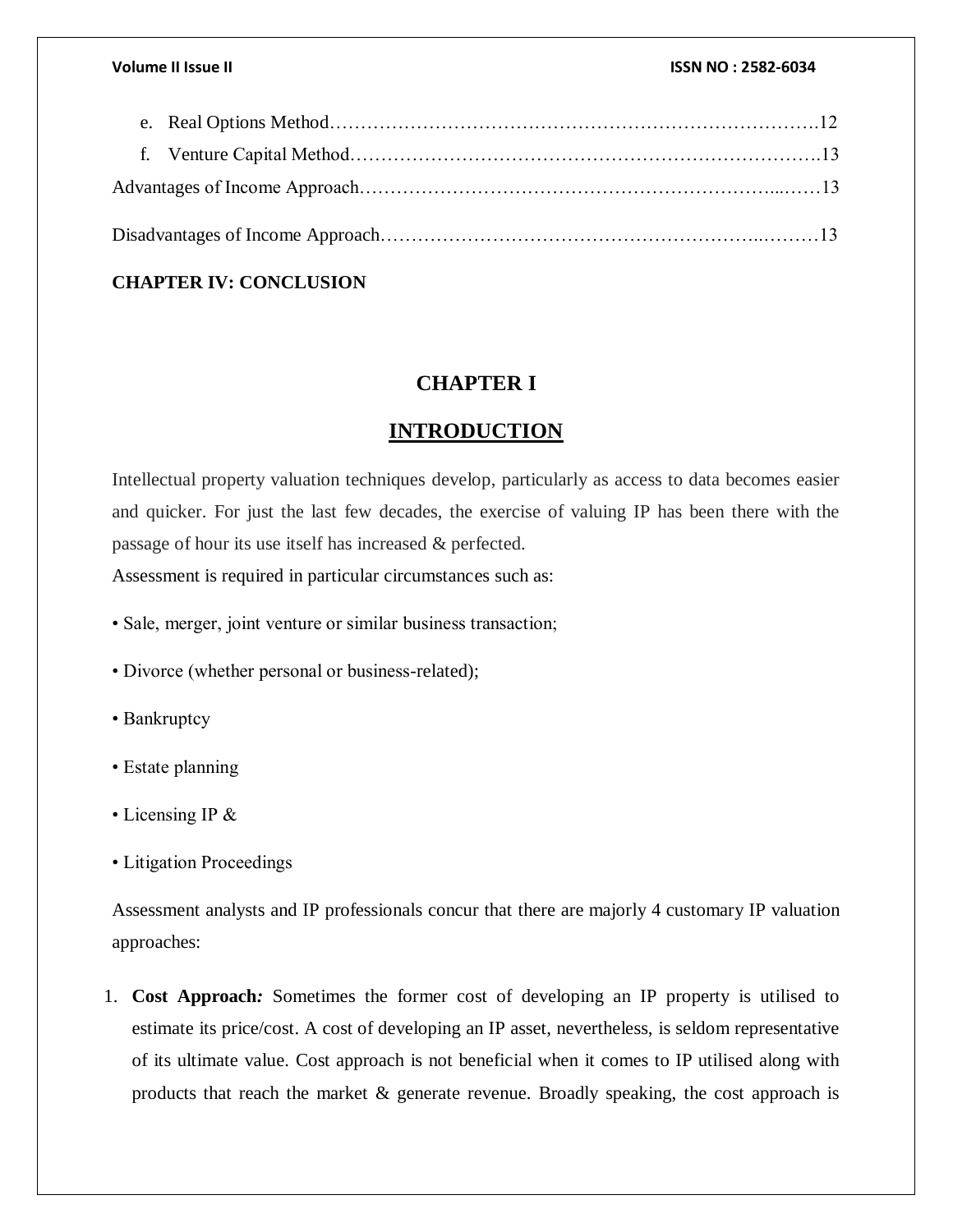### **CHAPTER IV: CONCLUSION**

## **CHAPTER I**

## **INTRODUCTION**

Intellectual property valuation techniques develop, particularly as access to data becomes easier and quicker. For just the last few decades, the exercise of valuing IP has been there with the passage of hour its use itself has increased & perfected.

Assessment is required in particular circumstances such as:

- Sale, merger, joint venture or similar business transaction;
- Divorce (whether personal or business-related);
- Bankruptcy
- Estate planning
- Licensing IP &
- Litigation Proceedings

Assessment analysts and IP professionals concur that there are majorly 4 customary IP valuation approaches:

1. **Cost Approach***:* Sometimes the former cost of developing an IP property is utilised to estimate its price/cost. A cost of developing an IP asset, nevertheless, is seldom representative of its ultimate value. Cost approach is not beneficial when it comes to IP utilised along with products that reach the market & generate revenue. Broadly speaking, the cost approach is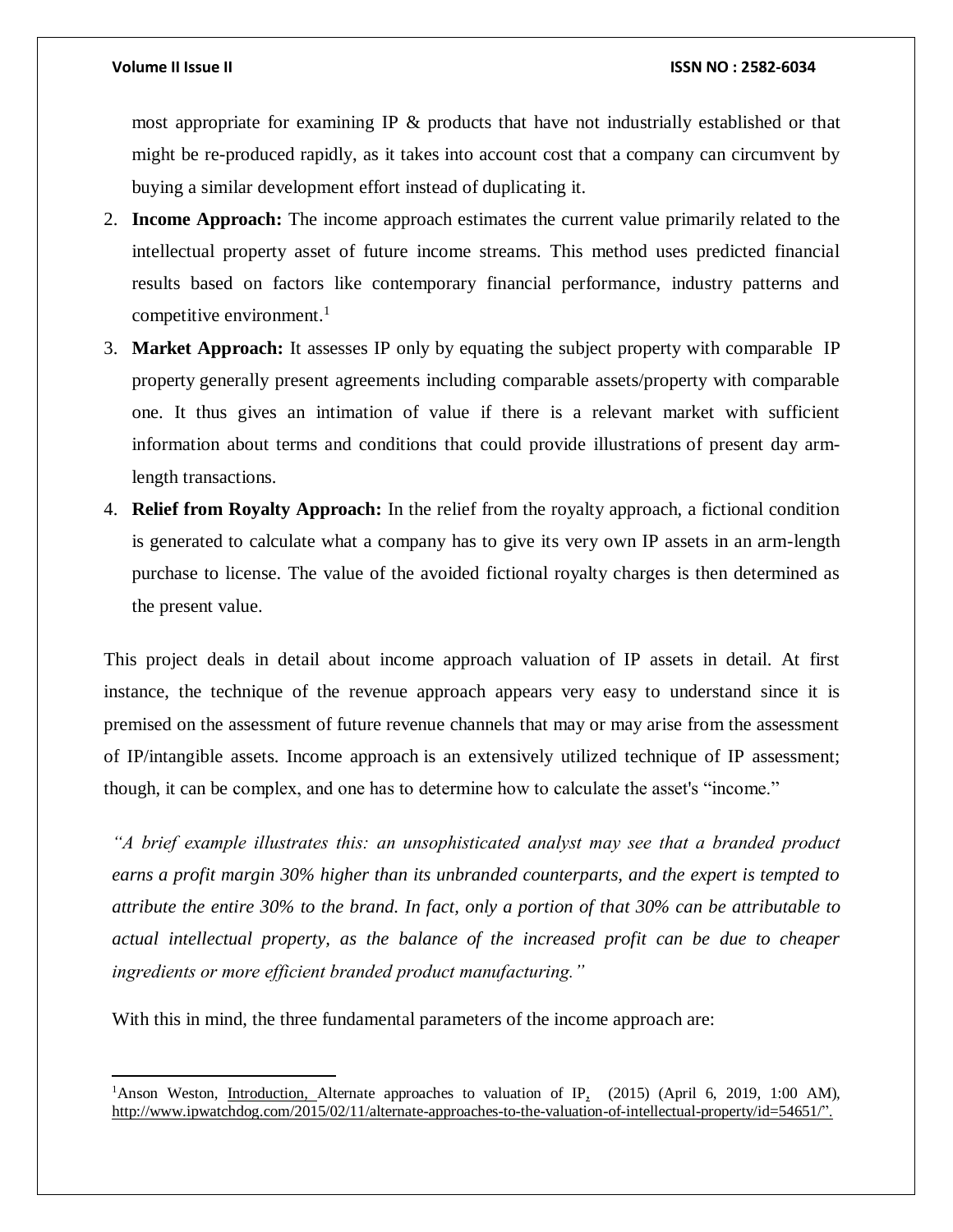$\overline{\phantom{a}}$ 

#### **Volume II Issue II ISSN NO : 2582-6034**

most appropriate for examining IP & products that have not industrially established or that might be re-produced rapidly, as it takes into account cost that a company can circumvent by buying a similar development effort instead of duplicating it.

- 2. **Income Approach:** The income approach estimates the current value primarily related to the intellectual property asset of future income streams. This method uses predicted financial results based on factors like contemporary financial performance, industry patterns and competitive environment. $<sup>1</sup>$ </sup>
- 3. **Market Approach:** It assesses IP only by equating the subject property with comparable IP property generally present agreements including comparable assets/property with comparable one. It thus gives an intimation of value if there is a relevant market with sufficient information about terms and conditions that could provide illustrations of present day armlength transactions.
- 4. **Relief from Royalty Approach:** In the relief from the royalty approach, a fictional condition is generated to calculate what a company has to give its very own IP assets in an arm-length purchase to license. The value of the avoided fictional royalty charges is then determined as the present value.

This project deals in detail about income approach valuation of IP assets in detail. At first instance, the technique of the revenue approach appears very easy to understand since it is premised on the assessment of future revenue channels that may or may arise from the assessment of IP/intangible assets. Income approach is an extensively utilized technique of IP assessment; though, it can be complex, and one has to determine how to calculate the asset's "income."

*"A brief example illustrates this: an unsophisticated analyst may see that a branded product earns a profit margin 30% higher than its unbranded counterparts, and the expert is tempted to attribute the entire 30% to the brand. In fact, only a portion of that 30% can be attributable to actual intellectual property, as the balance of the increased profit can be due to cheaper ingredients or more efficient branded product manufacturing."* 

With this in mind, the three fundamental parameters of the income approach are:

<sup>&</sup>lt;sup>1</sup>Anson Weston, Introduction, Alternate approaches to valuation of IP<sub>1</sub> (2015) (April 6, 2019, 1:00 AM), [http://www.ipwatchdog.com/2015/02/11/alternate-approaches-to-the-valuation-of-intellectual-property/id=54651/"](http://www.ipwatchdog.com/2015/02/11/alternate-approaches-to-the-valuation-of-intellectual-property/id=54651/).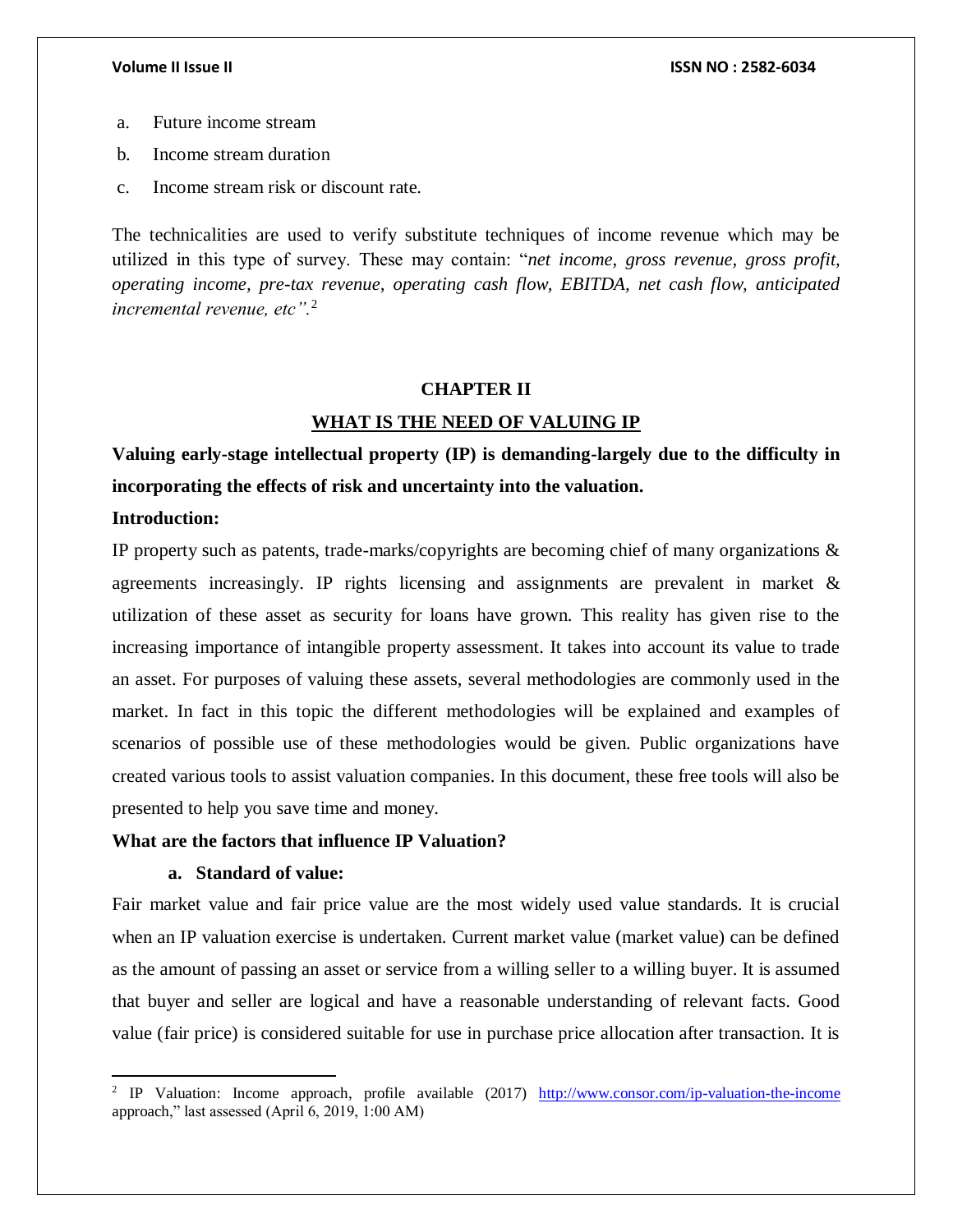- a. Future income stream
- b. Income stream duration
- c. Income stream risk or discount rate.

The technicalities are used to verify substitute techniques of income revenue which may be utilized in this type of survey. These may contain: "*net income, gross revenue, gross profit, operating income, pre-tax revenue, operating cash flow, EBITDA, net cash flow, anticipated incremental revenue, etc".*<sup>2</sup>

### **CHAPTER II**

### **WHAT IS THE NEED OF VALUING IP**

**Valuing early-stage intellectual property (IP) is demanding-largely due to the difficulty in incorporating the effects of risk and uncertainty into the valuation.**

#### **Introduction:**

 $\overline{\phantom{a}}$ 

IP property such as patents, trade-marks/copyrights are becoming chief of many organizations  $\&$ agreements increasingly. IP rights licensing and assignments are prevalent in market  $\&$ utilization of these asset as security for loans have grown. This reality has given rise to the increasing importance of intangible property assessment. It takes into account its value to trade an asset. For purposes of valuing these assets, several methodologies are commonly used in the market. In fact in this topic the different methodologies will be explained and examples of scenarios of possible use of these methodologies would be given. Public organizations have created various tools to assist valuation companies. In this document, these free tools will also be presented to help you save time and money.

### **What are the factors that influence IP Valuation?**

### **a. Standard of value:**

Fair market value and fair price value are the most widely used value standards. It is crucial when an IP valuation exercise is undertaken. Current market value (market value) can be defined as the amount of passing an asset or service from a willing seller to a willing buyer. It is assumed that buyer and seller are logical and have a reasonable understanding of relevant facts. Good value (fair price) is considered suitable for use in purchase price allocation after transaction. It is

<sup>&</sup>lt;sup>2</sup> IP Valuation: Income approach, profile available (2017) <http://www.consor.com/ip-valuation-the-income> approach," last assessed (April 6, 2019, 1:00 AM)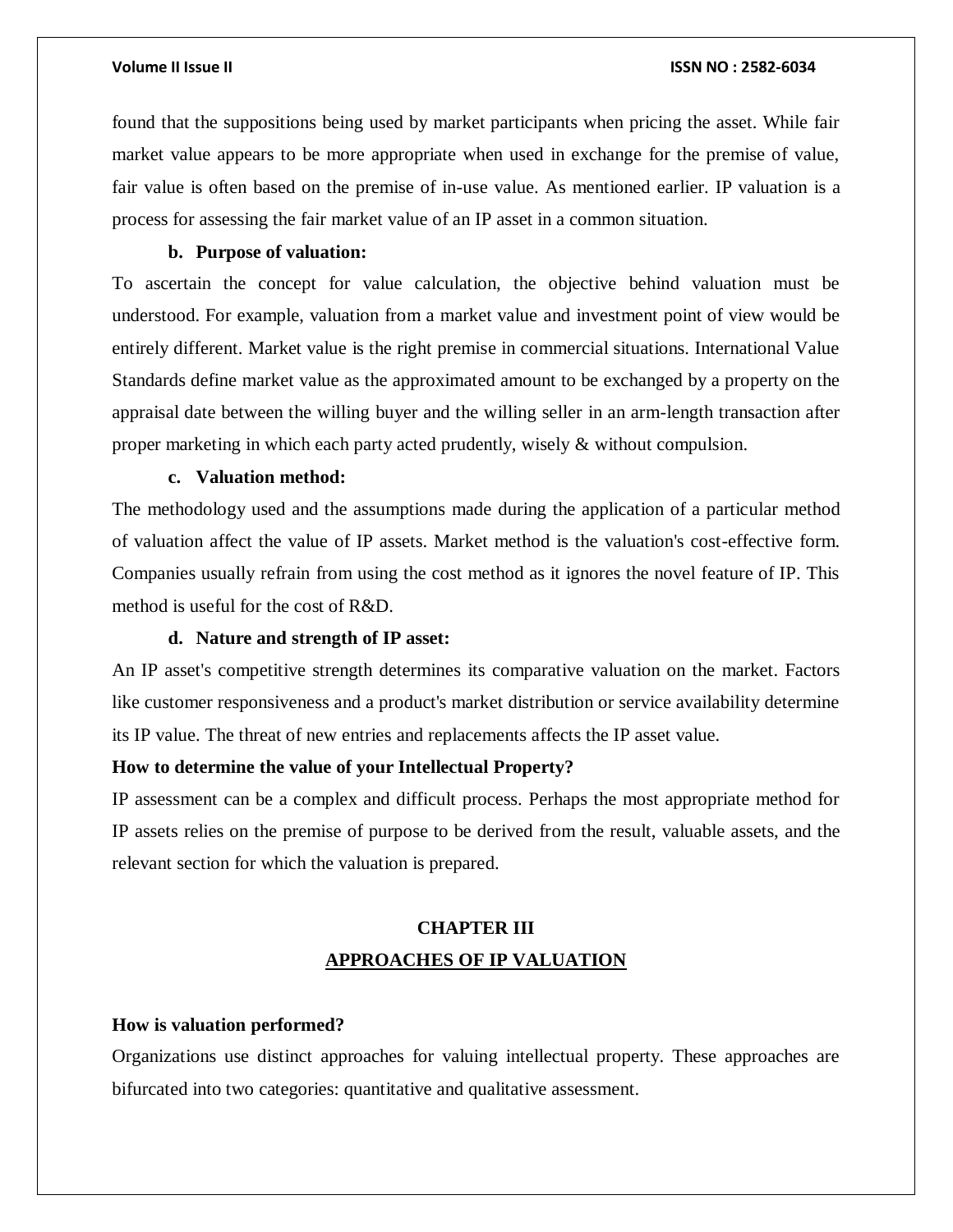found that the suppositions being used by market participants when pricing the asset. While fair market value appears to be more appropriate when used in exchange for the premise of value, fair value is often based on the premise of in-use value. As mentioned earlier. IP valuation is a process for assessing the fair market value of an IP asset in a common situation.

#### **b. Purpose of valuation:**

To ascertain the concept for value calculation, the objective behind valuation must be understood. For example, valuation from a market value and investment point of view would be entirely different. Market value is the right premise in commercial situations. International Value Standards define market value as the approximated amount to be exchanged by a property on the appraisal date between the willing buyer and the willing seller in an arm-length transaction after proper marketing in which each party acted prudently, wisely & without compulsion.

#### **c. Valuation method:**

The methodology used and the assumptions made during the application of a particular method of valuation affect the value of IP assets. Market method is the valuation's cost-effective form. Companies usually refrain from using the cost method as it ignores the novel feature of IP. This method is useful for the cost of R&D.

#### **d. Nature and strength of IP asset:**

An IP asset's competitive strength determines its comparative valuation on the market. Factors like customer responsiveness and a product's market distribution or service availability determine its IP value. The threat of new entries and replacements affects the IP asset value.

### **How to determine the value of your Intellectual Property?**

IP assessment can be a complex and difficult process. Perhaps the most appropriate method for IP assets relies on the premise of purpose to be derived from the result, valuable assets, and the relevant section for which the valuation is prepared.

## **CHAPTER III APPROACHES OF IP VALUATION**

#### **How is valuation performed?**

Organizations use distinct approaches for valuing intellectual property. These approaches are bifurcated into two categories: quantitative and qualitative assessment.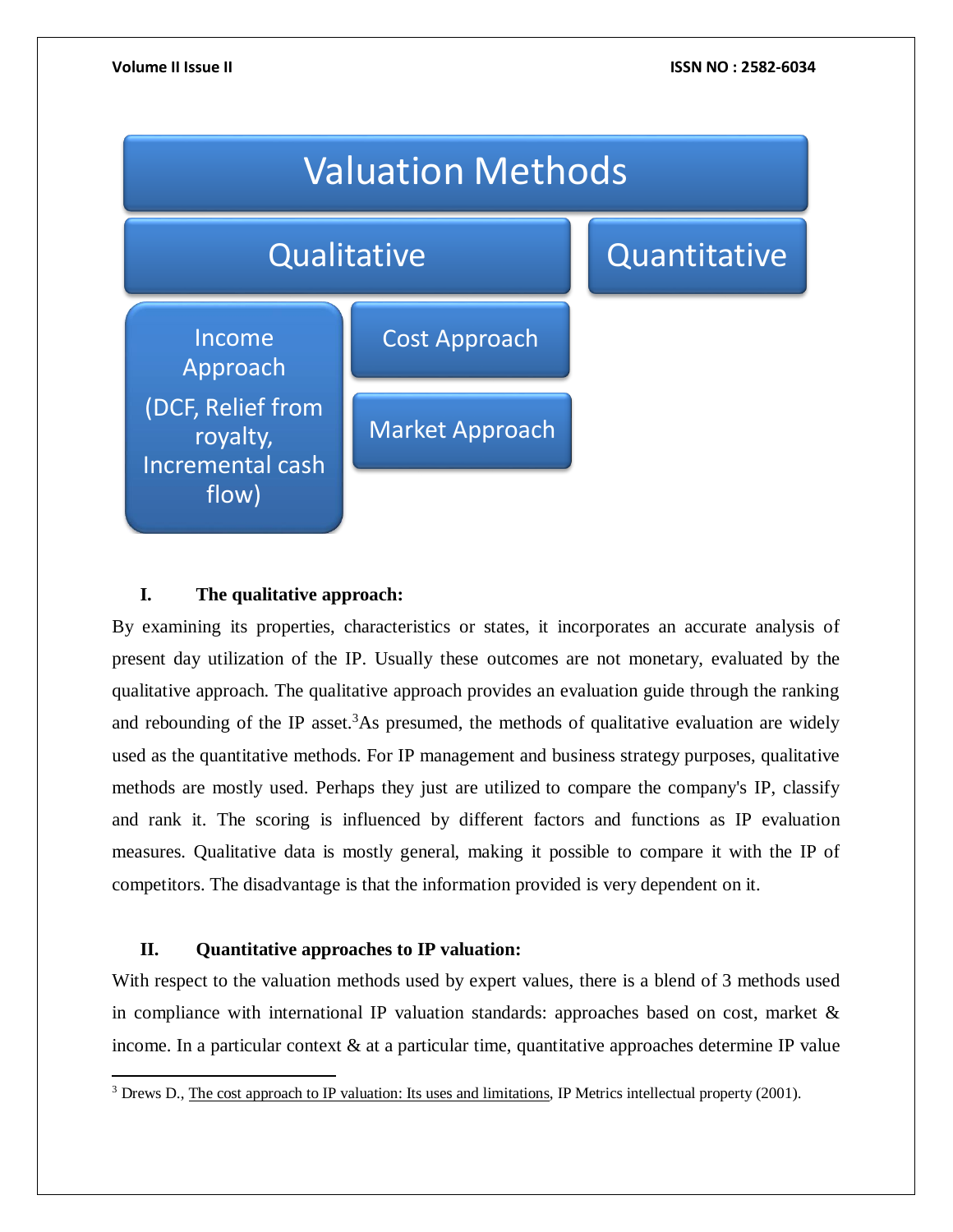

### **I. The qualitative approach:**

By examining its properties, characteristics or states, it incorporates an accurate analysis of present day utilization of the IP. Usually these outcomes are not monetary, evaluated by the qualitative approach. The qualitative approach provides an evaluation guide through the ranking and rebounding of the IP asset.<sup>3</sup>As presumed, the methods of qualitative evaluation are widely used as the quantitative methods. For IP management and business strategy purposes, qualitative methods are mostly used. Perhaps they just are utilized to compare the company's IP, classify and rank it. The scoring is influenced by different factors and functions as IP evaluation measures. Qualitative data is mostly general, making it possible to compare it with the IP of competitors. The disadvantage is that the information provided is very dependent on it.

### **II. Quantitative approaches to IP valuation:**

 $\overline{\phantom{a}}$ 

With respect to the valuation methods used by expert values, there is a blend of 3 methods used in compliance with international IP valuation standards: approaches based on cost, market  $\&$ income. In a particular context  $\&$  at a particular time, quantitative approaches determine IP value

<sup>3</sup> Drews D., The cost approach to IP valuation: Its uses and limitations, IP Metrics intellectual property (2001).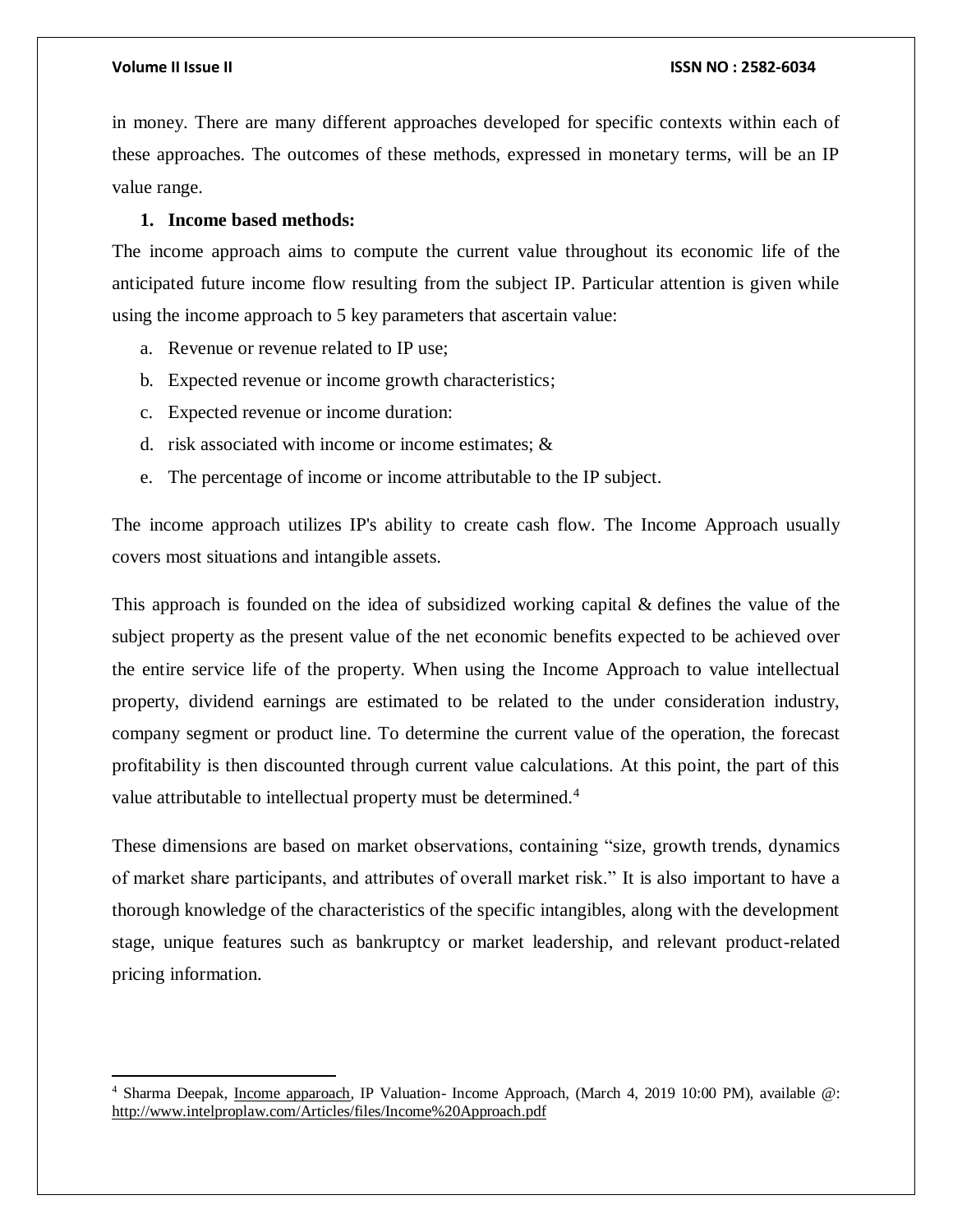$\overline{\phantom{a}}$ 

in money. There are many different approaches developed for specific contexts within each of these approaches. The outcomes of these methods, expressed in monetary terms, will be an IP value range.

#### **1. Income based methods:**

The income approach aims to compute the current value throughout its economic life of the anticipated future income flow resulting from the subject IP. Particular attention is given while using the income approach to 5 key parameters that ascertain value:

- a. Revenue or revenue related to IP use;
- b. Expected revenue or income growth characteristics;
- c. Expected revenue or income duration:
- d. risk associated with income or income estimates; &
- e. The percentage of income or income attributable to the IP subject.

The income approach utilizes IP's ability to create cash flow. The Income Approach usually covers most situations and intangible assets.

This approach is founded on the idea of subsidized working capital & defines the value of the subject property as the present value of the net economic benefits expected to be achieved over the entire service life of the property. When using the Income Approach to value intellectual property, dividend earnings are estimated to be related to the under consideration industry, company segment or product line. To determine the current value of the operation, the forecast profitability is then discounted through current value calculations. At this point, the part of this value attributable to intellectual property must be determined.<sup>4</sup>

These dimensions are based on market observations, containing "size, growth trends, dynamics of market share participants, and attributes of overall market risk." It is also important to have a thorough knowledge of the characteristics of the specific intangibles, along with the development stage, unique features such as bankruptcy or market leadership, and relevant product-related pricing information.

<sup>&</sup>lt;sup>4</sup> Sharma Deepak, <u>Income apparoach</u>, IP Valuation- Income Approach, (March 4, 2019 10:00 PM), available @: <http://www.intelproplaw.com/Articles/files/Income%20Approach.pdf>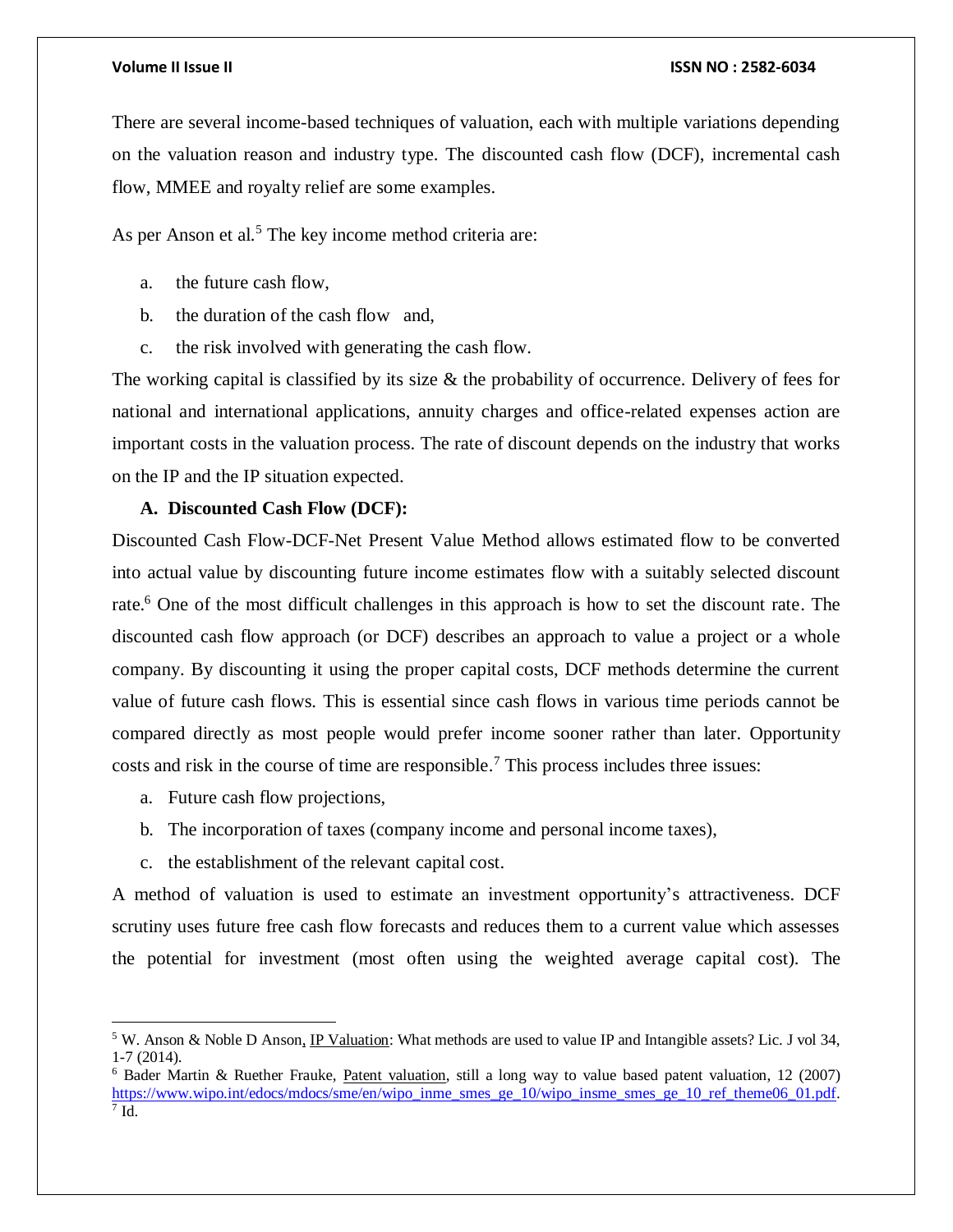There are several income-based techniques of valuation, each with multiple variations depending on the valuation reason and industry type. The discounted cash flow (DCF), incremental cash flow, MMEE and royalty relief are some examples.

As per Anson et al.<sup>5</sup> The key income method criteria are:

- a. the future cash flow,
- b. the duration of the cash flow and,
- c. the risk involved with generating the cash flow.

The working capital is classified by its size  $\&$  the probability of occurrence. Delivery of fees for national and international applications, annuity charges and office-related expenses action are important costs in the valuation process. The rate of discount depends on the industry that works on the IP and the IP situation expected.

#### **A. Discounted Cash Flow (DCF):**

Discounted Cash Flow-DCF-Net Present Value Method allows estimated flow to be converted into actual value by discounting future income estimates flow with a suitably selected discount rate.<sup>6</sup> One of the most difficult challenges in this approach is how to set the discount rate. The discounted cash flow approach (or DCF) describes an approach to value a project or a whole company. By discounting it using the proper capital costs, DCF methods determine the current value of future cash flows. This is essential since cash flows in various time periods cannot be compared directly as most people would prefer income sooner rather than later. Opportunity costs and risk in the course of time are responsible. <sup>7</sup> This process includes three issues:

a. Future cash flow projections,

 $\overline{\phantom{a}}$ 

- b. The incorporation of taxes (company income and personal income taxes),
- c. the establishment of the relevant capital cost.

A method of valuation is used to estimate an investment opportunity's attractiveness. DCF scrutiny uses future free cash flow forecasts and reduces them to a current value which assesses the potential for investment (most often using the weighted average capital cost). The

<sup>5</sup> W. Anson & Noble D Anson, IP Valuation: What methods are used to value IP and Intangible assets? Lic. J vol 34, 1-7 (2014).

<sup>&</sup>lt;sup>6</sup> Bader Martin & Ruether Frauke, Patent valuation, still a long way to value based patent valuation, 12 (2007) [https://www.wipo.int/edocs/mdocs/sme/en/wipo\\_inme\\_smes\\_ge\\_10/wipo\\_insme\\_smes\\_ge\\_10\\_ref\\_theme06\\_01.pdf.](https://www.wipo.int/edocs/mdocs/sme/en/wipo_inme_smes_ge_10/wipo_insme_smes_ge_10_ref_theme06_01.pdf)<br><sup>7</sup> Id.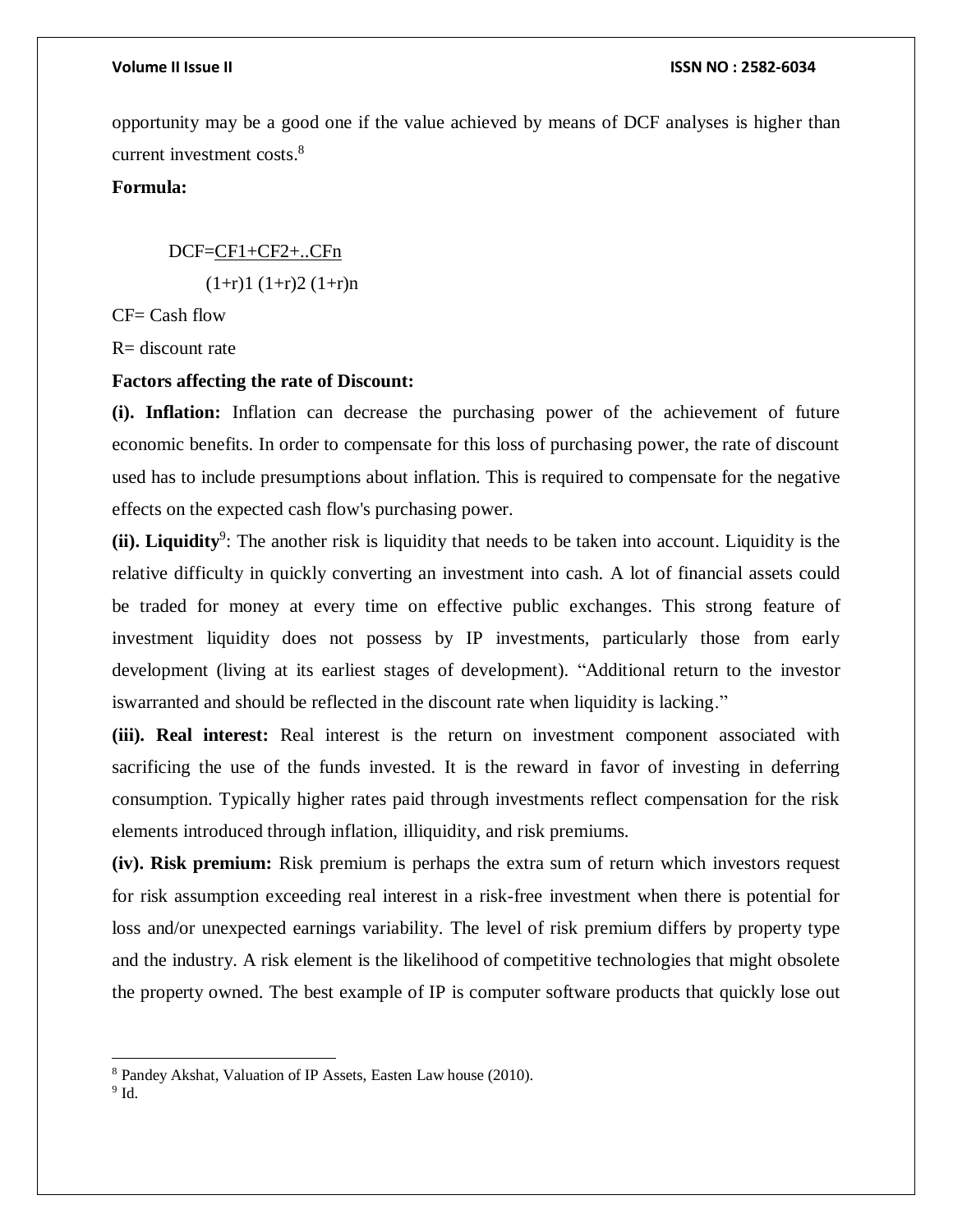opportunity may be a good one if the value achieved by means of DCF analyses is higher than current investment costs. 8

#### **Formula:**

 DCF=CF1+CF2+..CFn  $(1+r)1 (1+r)2 (1+r)n$ 

 $CF = Cash flow$ 

 $R=$  discount rate

#### **Factors affecting the rate of Discount:**

**(i). Inflation:** Inflation can decrease the purchasing power of the achievement of future economic benefits. In order to compensate for this loss of purchasing power, the rate of discount used has to include presumptions about inflation. This is required to compensate for the negative effects on the expected cash flow's purchasing power.

(ii). Liquidity<sup>9</sup>: The another risk is liquidity that needs to be taken into account. Liquidity is the relative difficulty in quickly converting an investment into cash. A lot of financial assets could be traded for money at every time on effective public exchanges. This strong feature of investment liquidity does not possess by IP investments, particularly those from early development (living at its earliest stages of development). "Additional return to the investor iswarranted and should be reflected in the discount rate when liquidity is lacking."

**(iii). Real interest:** Real interest is the return on investment component associated with sacrificing the use of the funds invested. It is the reward in favor of investing in deferring consumption. Typically higher rates paid through investments reflect compensation for the risk elements introduced through inflation, illiquidity, and risk premiums.

**(iv). Risk premium:** Risk premium is perhaps the extra sum of return which investors request for risk assumption exceeding real interest in a risk-free investment when there is potential for loss and/or unexpected earnings variability. The level of risk premium differs by property type and the industry. A risk element is the likelihood of competitive technologies that might obsolete the property owned. The best example of IP is computer software products that quickly lose out

 $\overline{a}$ 

<sup>8</sup> Pandey Akshat, Valuation of IP Assets, Easten Law house (2010).

 $9$  Id.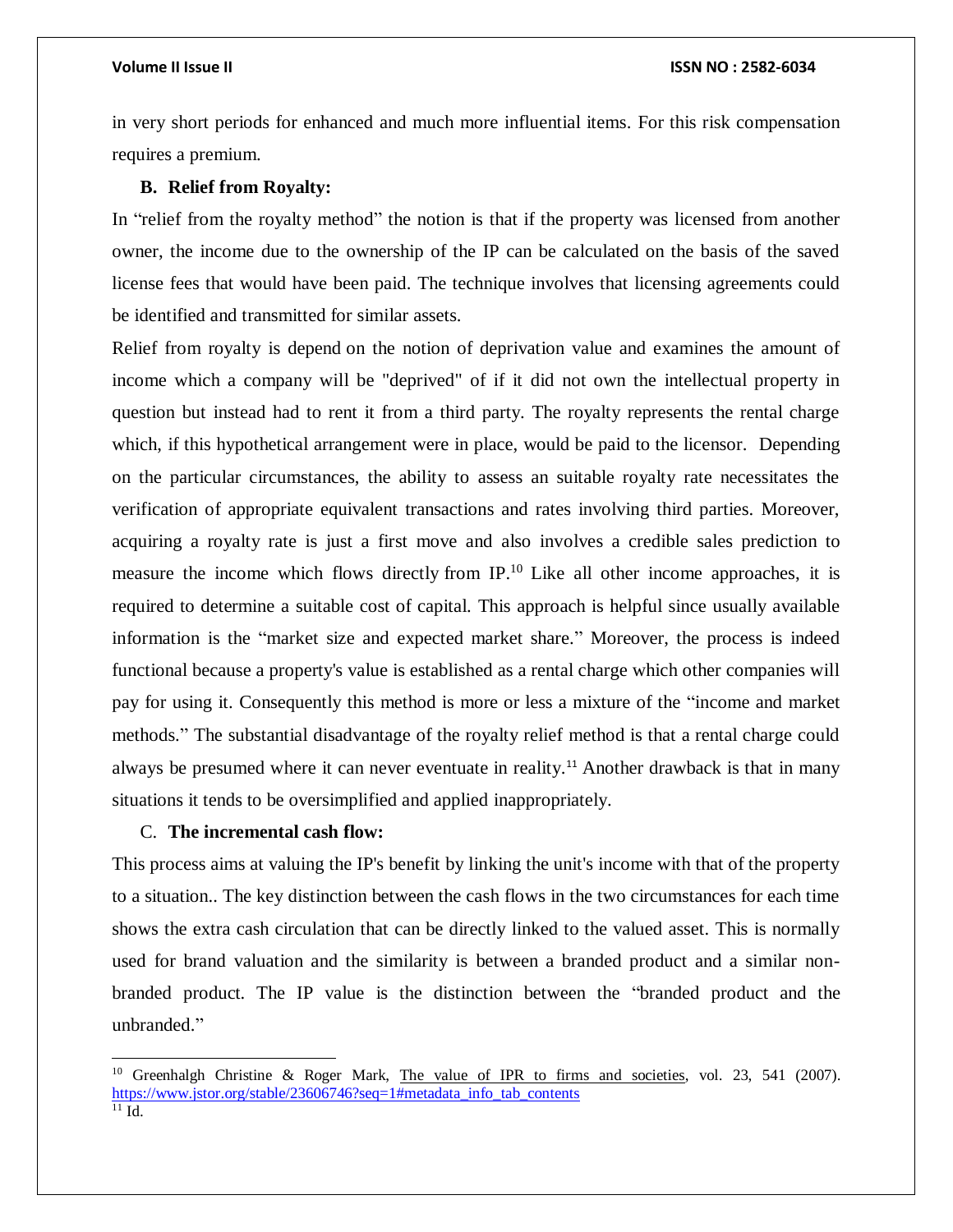in very short periods for enhanced and much more influential items. For this risk compensation requires a premium.

#### **B. Relief from Royalty:**

In "relief from the royalty method" the notion is that if the property was licensed from another owner, the income due to the ownership of the IP can be calculated on the basis of the saved license fees that would have been paid. The technique involves that licensing agreements could be identified and transmitted for similar assets.

Relief from royalty is depend on the notion of deprivation value and examines the amount of income which a company will be "deprived" of if it did not own the intellectual property in question but instead had to rent it from a third party. The royalty represents the rental charge which, if this hypothetical arrangement were in place, would be paid to the licensor. Depending on the particular circumstances, the ability to assess an suitable royalty rate necessitates the verification of appropriate equivalent transactions and rates involving third parties. Moreover, acquiring a royalty rate is just a first move and also involves a credible sales prediction to measure the income which flows directly from  $IP<sup>10</sup>$ . Like all other income approaches, it is required to determine a suitable cost of capital. This approach is helpful since usually available information is the "market size and expected market share." Moreover, the process is indeed functional because a property's value is established as a rental charge which other companies will pay for using it. Consequently this method is more or less a mixture of the "income and market methods." The substantial disadvantage of the royalty relief method is that a rental charge could always be presumed where it can never eventuate in reality. <sup>11</sup> Another drawback is that in many situations it tends to be oversimplified and applied inappropriately.

#### C. **The incremental cash flow:**

 $\overline{a}$ 

This process aims at valuing the IP's benefit by linking the unit's income with that of the property to a situation.. The key distinction between the cash flows in the two circumstances for each time shows the extra cash circulation that can be directly linked to the valued asset. This is normally used for brand valuation and the similarity is between a branded product and a similar nonbranded product. The IP value is the distinction between the "branded product and the unbranded."

<sup>&</sup>lt;sup>10</sup> Greenhalgh Christine & Roger Mark, The value of IPR to firms and societies, vol. 23, 541 (2007). [https://www.jstor.org/stable/23606746?seq=1#metadata\\_info\\_tab\\_contents](https://www.jstor.org/stable/23606746?seq=1#metadata_info_tab_contents) <sup>11</sup> Id.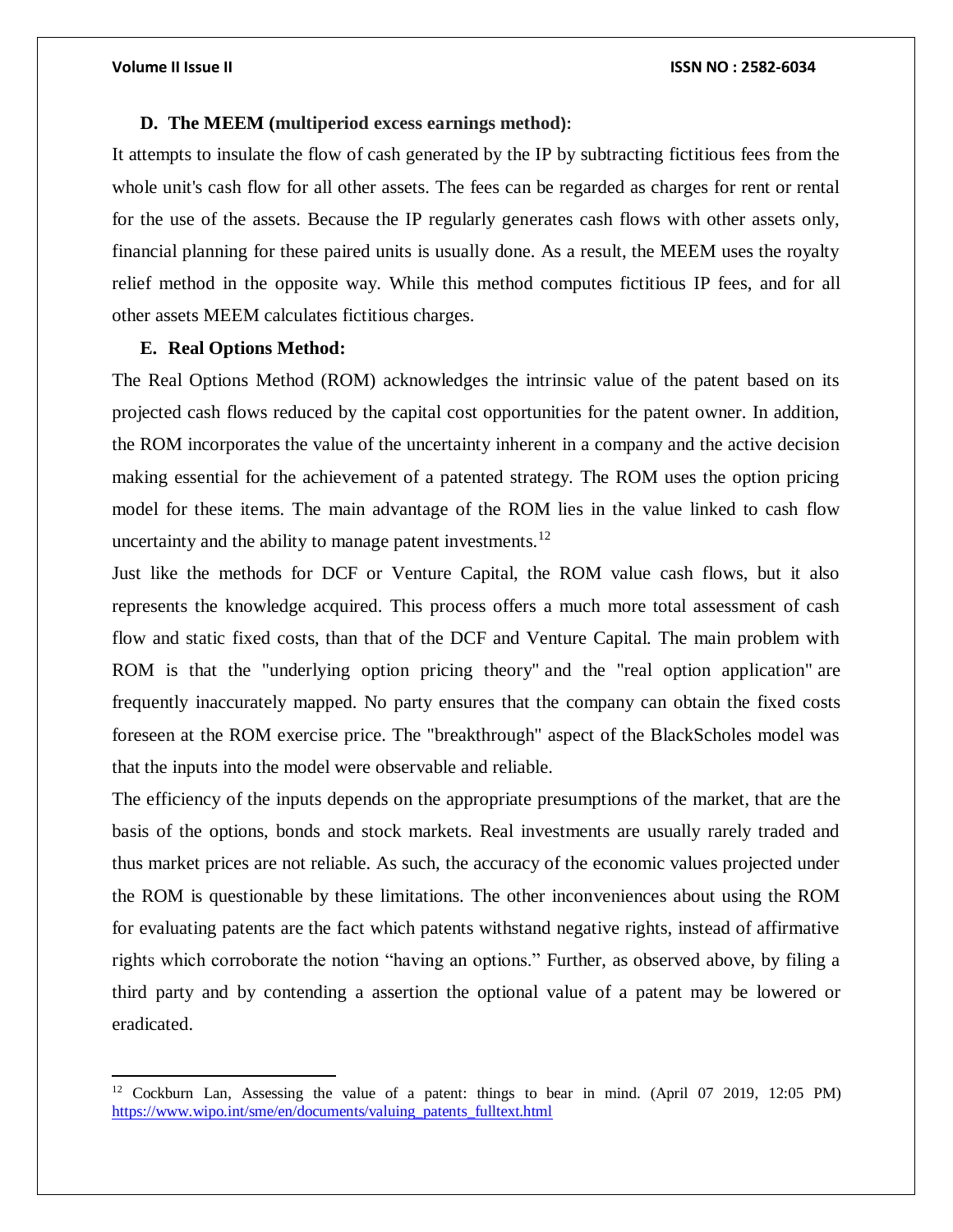$\overline{\phantom{a}}$ 

#### **D. The MEEM (multiperiod excess earnings method):**

It attempts to insulate the flow of cash generated by the IP by subtracting fictitious fees from the whole unit's cash flow for all other assets. The fees can be regarded as charges for rent or rental for the use of the assets. Because the IP regularly generates cash flows with other assets only, financial planning for these paired units is usually done. As a result, the MEEM uses the royalty relief method in the opposite way. While this method computes fictitious IP fees, and for all other assets MEEM calculates fictitious charges.

#### **E. Real Options Method:**

The Real Options Method (ROM) acknowledges the intrinsic value of the patent based on its projected cash flows reduced by the capital cost opportunities for the patent owner. In addition, the ROM incorporates the value of the uncertainty inherent in a company and the active decision making essential for the achievement of a patented strategy. The ROM uses the option pricing model for these items. The main advantage of the ROM lies in the value linked to cash flow uncertainty and the ability to manage patent investments.<sup>12</sup>

Just like the methods for DCF or Venture Capital, the ROM value cash flows, but it also represents the knowledge acquired. This process offers a much more total assessment of cash flow and static fixed costs, than that of the DCF and Venture Capital. The main problem with ROM is that the "underlying option pricing theory" and the "real option application" are frequently inaccurately mapped. No party ensures that the company can obtain the fixed costs foreseen at the ROM exercise price. The "breakthrough" aspect of the BlackScholes model was that the inputs into the model were observable and reliable.

The efficiency of the inputs depends on the appropriate presumptions of the market, that are the basis of the options, bonds and stock markets. Real investments are usually rarely traded and thus market prices are not reliable. As such, the accuracy of the economic values projected under the ROM is questionable by these limitations. The other inconveniences about using the ROM for evaluating patents are the fact which patents withstand negative rights, instead of affirmative rights which corroborate the notion "having an options." Further, as observed above, by filing a third party and by contending a assertion the optional value of a patent may be lowered or eradicated.

<sup>12</sup> Cockburn Lan, Assessing the value of a patent: things to bear in mind. (April 07 2019, 12:05 PM) [https://www.wipo.int/sme/en/documents/valuing\\_patents\\_fulltext.html](https://www.wipo.int/sme/en/documents/valuing_patents_fulltext.html)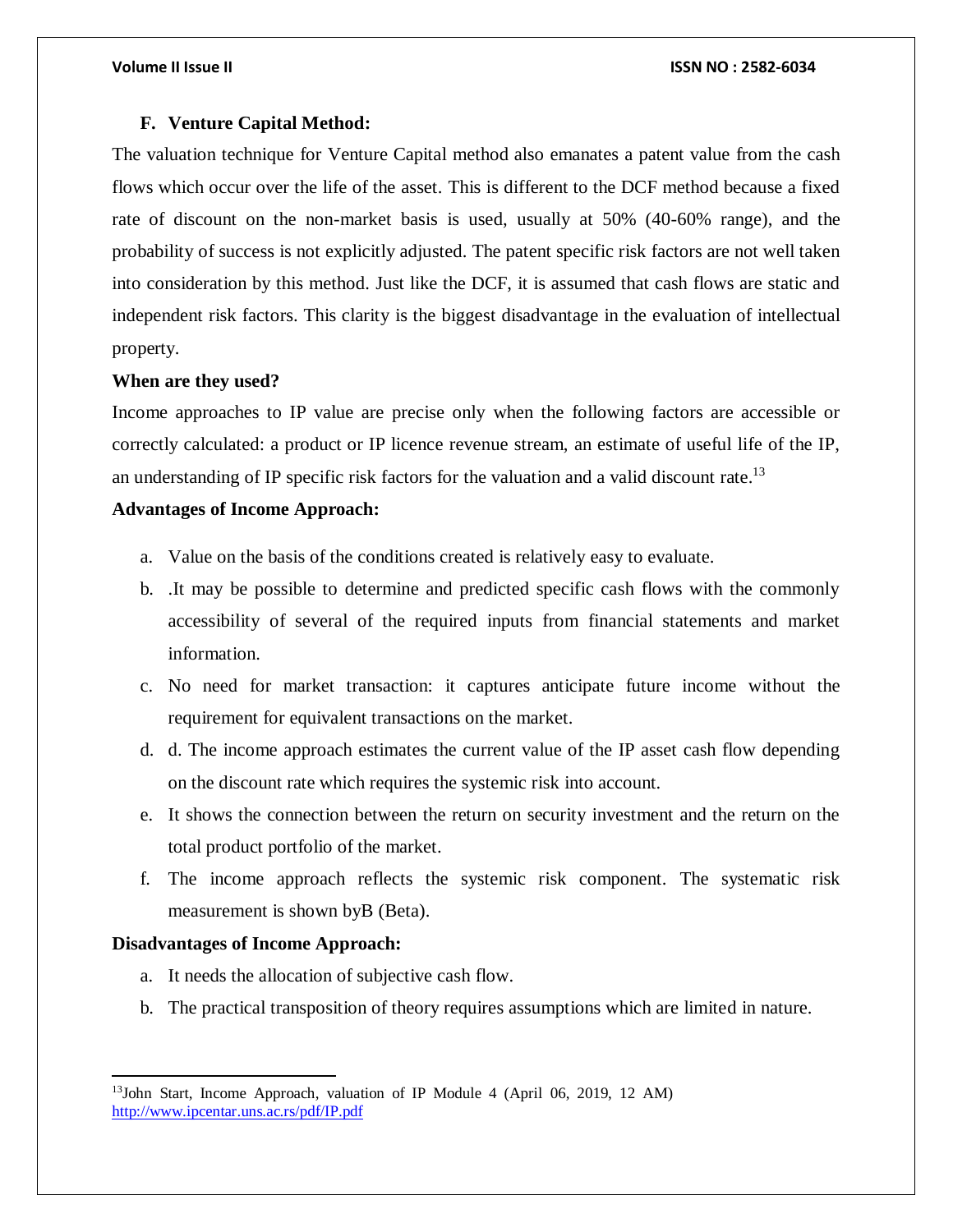#### **F. Venture Capital Method:**

The valuation technique for Venture Capital method also emanates a patent value from the cash flows which occur over the life of the asset. This is different to the DCF method because a fixed rate of discount on the non-market basis is used, usually at 50% (40-60% range), and the probability of success is not explicitly adjusted. The patent specific risk factors are not well taken into consideration by this method. Just like the DCF, it is assumed that cash flows are static and independent risk factors. This clarity is the biggest disadvantage in the evaluation of intellectual property.

### **When are they used?**

Income approaches to IP value are precise only when the following factors are accessible or correctly calculated: a product or IP licence revenue stream, an estimate of useful life of the IP, an understanding of IP specific risk factors for the valuation and a valid discount rate.<sup>13</sup>

### **Advantages of Income Approach:**

- a. Value on the basis of the conditions created is relatively easy to evaluate.
- b. .It may be possible to determine and predicted specific cash flows with the commonly accessibility of several of the required inputs from financial statements and market information.
- c. No need for market transaction: it captures anticipate future income without the requirement for equivalent transactions on the market.
- d. d. The income approach estimates the current value of the IP asset cash flow depending on the discount rate which requires the systemic risk into account.
- e. It shows the connection between the return on security investment and the return on the total product portfolio of the market.
- f. The income approach reflects the systemic risk component. The systematic risk measurement is shown byB (Beta).

#### **Disadvantages of Income Approach:**

 $\overline{\phantom{a}}$ 

- a. It needs the allocation of subjective cash flow.
- b. The practical transposition of theory requires assumptions which are limited in nature.

<sup>13</sup>John Start, Income Approach, valuation of IP Module 4 (April 06, 2019, 12 AM) <http://www.ipcentar.uns.ac.rs/pdf/IP.pdf>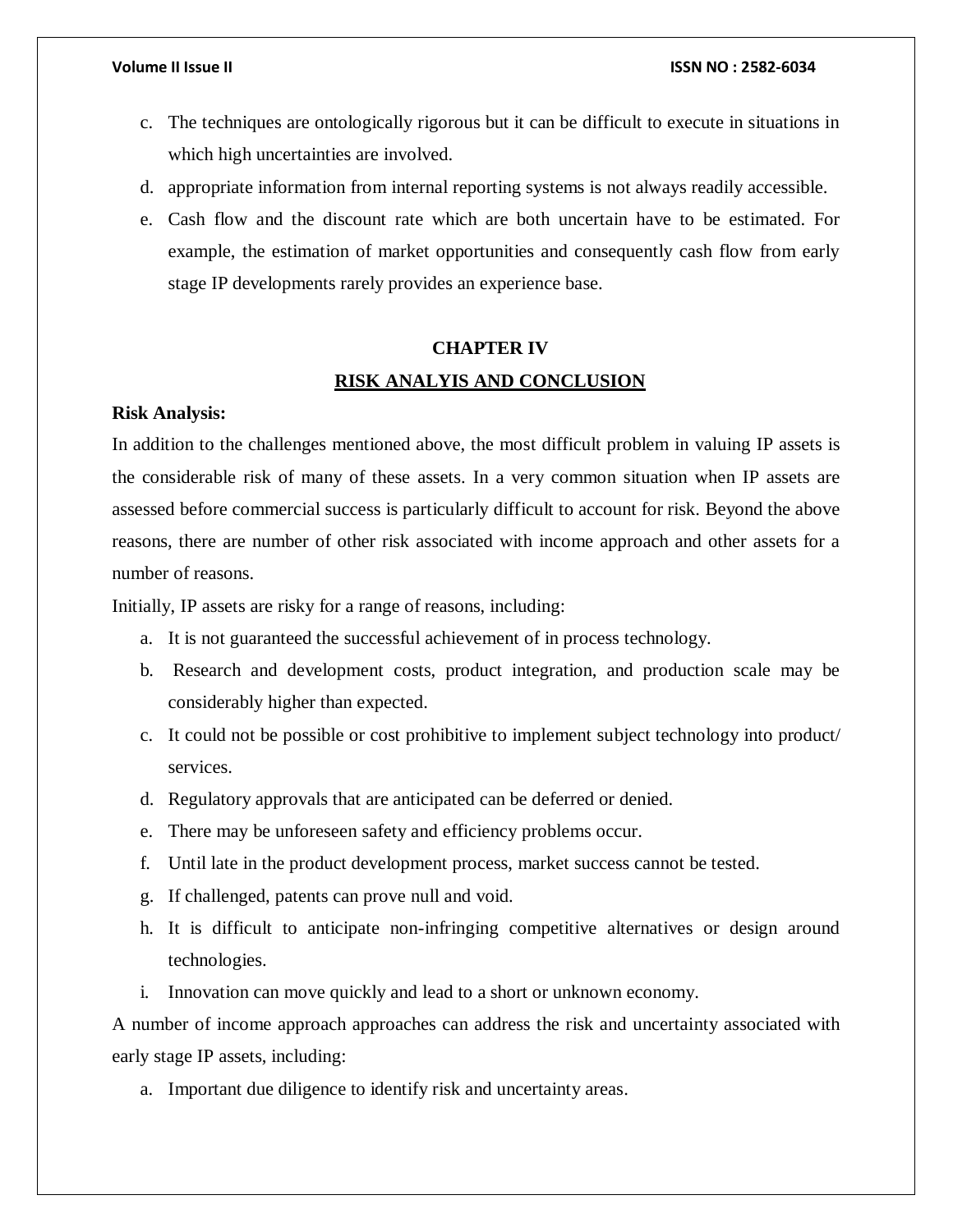- c. The techniques are ontologically rigorous but it can be difficult to execute in situations in which high uncertainties are involved.
- d. appropriate information from internal reporting systems is not always readily accessible.
- e. Cash flow and the discount rate which are both uncertain have to be estimated. For example, the estimation of market opportunities and consequently cash flow from early stage IP developments rarely provides an experience base.

## **CHAPTER IV RISK ANALYIS AND CONCLUSION**

#### **Risk Analysis:**

In addition to the challenges mentioned above, the most difficult problem in valuing IP assets is the considerable risk of many of these assets. In a very common situation when IP assets are assessed before commercial success is particularly difficult to account for risk. Beyond the above reasons, there are number of other risk associated with income approach and other assets for a number of reasons.

Initially, IP assets are risky for a range of reasons, including:

- a. It is not guaranteed the successful achievement of in process technology.
- b. Research and development costs, product integration, and production scale may be considerably higher than expected.
- c. It could not be possible or cost prohibitive to implement subject technology into product/ services.
- d. Regulatory approvals that are anticipated can be deferred or denied.
- e. There may be unforeseen safety and efficiency problems occur.
- f. Until late in the product development process, market success cannot be tested.
- g. If challenged, patents can prove null and void.
- h. It is difficult to anticipate non-infringing competitive alternatives or design around technologies.
- i. Innovation can move quickly and lead to a short or unknown economy.

A number of income approach approaches can address the risk and uncertainty associated with early stage IP assets, including:

a. Important due diligence to identify risk and uncertainty areas.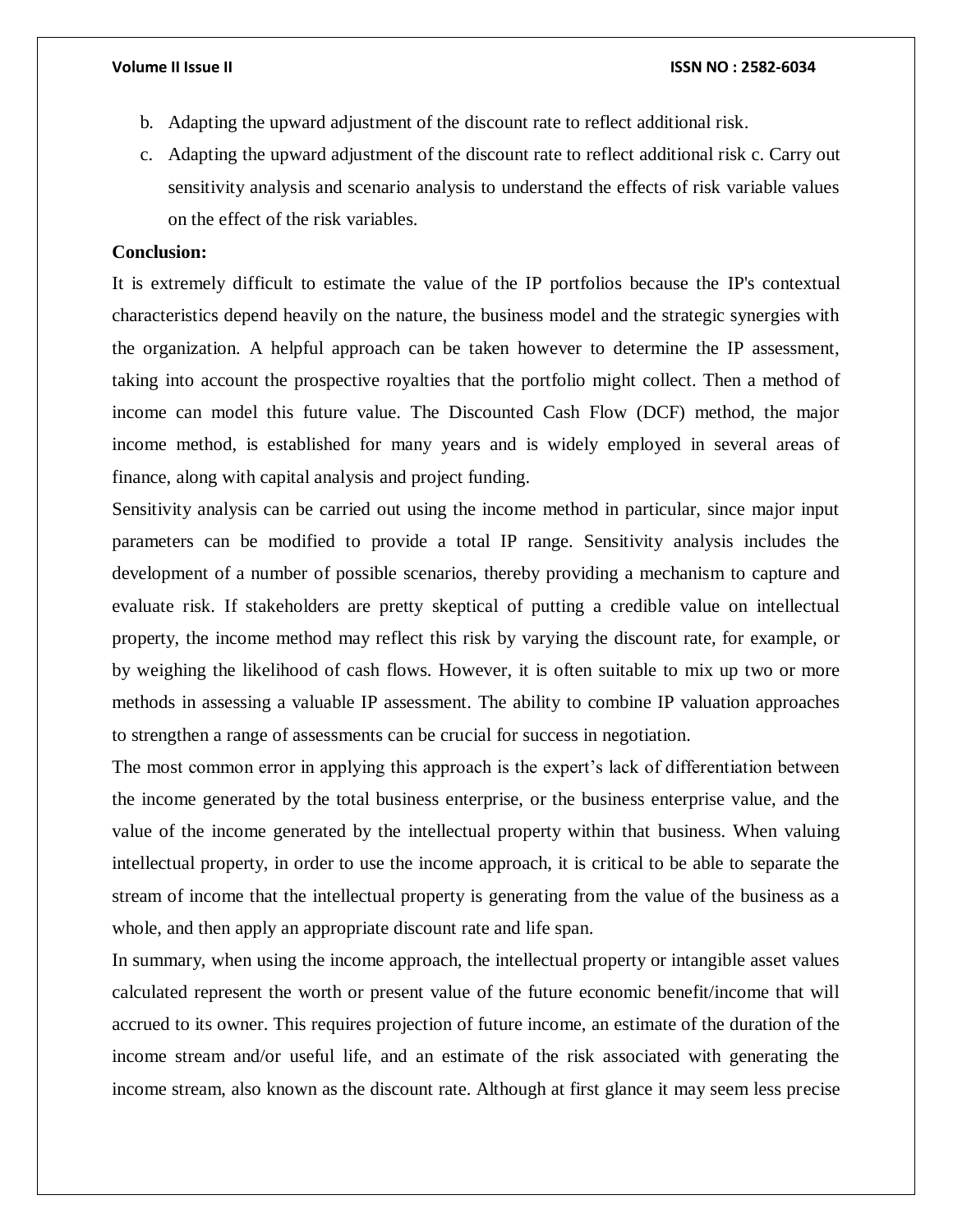- b. Adapting the upward adjustment of the discount rate to reflect additional risk.
- c. Adapting the upward adjustment of the discount rate to reflect additional risk c. Carry out sensitivity analysis and scenario analysis to understand the effects of risk variable values on the effect of the risk variables.

### **Conclusion:**

It is extremely difficult to estimate the value of the IP portfolios because the IP's contextual characteristics depend heavily on the nature, the business model and the strategic synergies with the organization. A helpful approach can be taken however to determine the IP assessment, taking into account the prospective royalties that the portfolio might collect. Then a method of income can model this future value. The Discounted Cash Flow (DCF) method, the major income method, is established for many years and is widely employed in several areas of finance, along with capital analysis and project funding.

Sensitivity analysis can be carried out using the income method in particular, since major input parameters can be modified to provide a total IP range. Sensitivity analysis includes the development of a number of possible scenarios, thereby providing a mechanism to capture and evaluate risk. If stakeholders are pretty skeptical of putting a credible value on intellectual property, the income method may reflect this risk by varying the discount rate, for example, or by weighing the likelihood of cash flows. However, it is often suitable to mix up two or more methods in assessing a valuable IP assessment. The ability to combine IP valuation approaches to strengthen a range of assessments can be crucial for success in negotiation.

The most common error in applying this approach is the expert's lack of differentiation between the income generated by the total business enterprise, or the business enterprise value, and the value of the income generated by the intellectual property within that business. When valuing intellectual property, in order to use the income approach, it is critical to be able to separate the stream of income that the intellectual property is generating from the value of the business as a whole, and then apply an appropriate discount rate and life span.

In summary, when using the income approach, the intellectual property or intangible asset values calculated represent the worth or present value of the future economic benefit/income that will accrued to its owner. This requires projection of future income, an estimate of the duration of the income stream and/or useful life, and an estimate of the risk associated with generating the income stream, also known as the discount rate. Although at first glance it may seem less precise